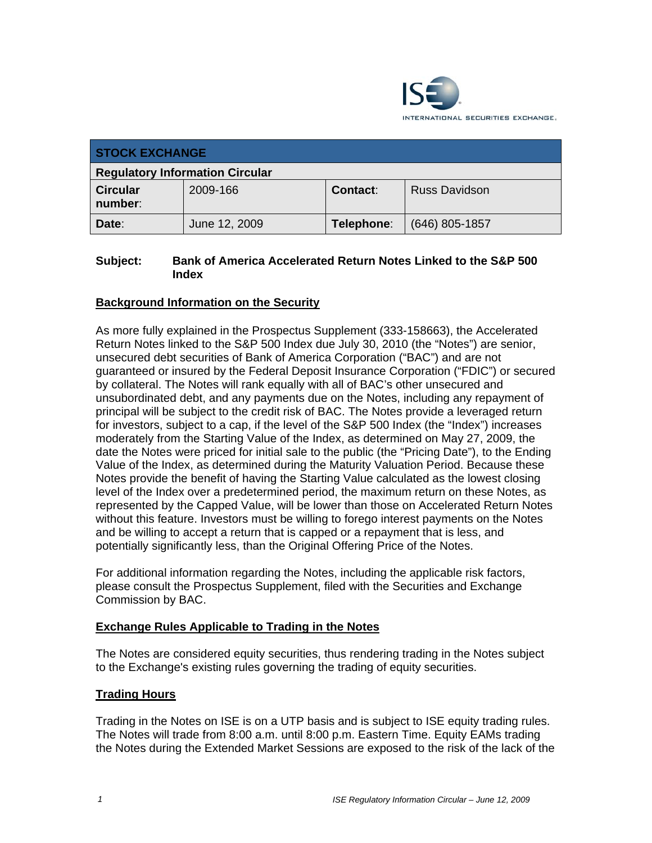

| <b>STOCK EXCHANGE</b>                  |               |            |                      |
|----------------------------------------|---------------|------------|----------------------|
| <b>Regulatory Information Circular</b> |               |            |                      |
| <b>Circular</b><br>number:             | 2009-166      | Contact:   | <b>Russ Davidson</b> |
| Date:                                  | June 12, 2009 | Telephone: | $(646)$ 805-1857     |

### **Subject: Bank of America Accelerated Return Notes Linked to the S&P 500 Index**

## **Background Information on the Security**

As more fully explained in the Prospectus Supplement (333-158663), the Accelerated Return Notes linked to the S&P 500 Index due July 30, 2010 (the "Notes") are senior, unsecured debt securities of Bank of America Corporation ("BAC") and are not guaranteed or insured by the Federal Deposit Insurance Corporation ("FDIC") or secured by collateral. The Notes will rank equally with all of BAC's other unsecured and unsubordinated debt, and any payments due on the Notes, including any repayment of principal will be subject to the credit risk of BAC. The Notes provide a leveraged return for investors, subject to a cap, if the level of the S&P 500 Index (the "Index") increases moderately from the Starting Value of the Index, as determined on May 27, 2009, the date the Notes were priced for initial sale to the public (the "Pricing Date"), to the Ending Value of the Index, as determined during the Maturity Valuation Period. Because these Notes provide the benefit of having the Starting Value calculated as the lowest closing level of the Index over a predetermined period, the maximum return on these Notes, as represented by the Capped Value, will be lower than those on Accelerated Return Notes without this feature. Investors must be willing to forego interest payments on the Notes and be willing to accept a return that is capped or a repayment that is less, and potentially significantly less, than the Original Offering Price of the Notes.

For additional information regarding the Notes, including the applicable risk factors, please consult the Prospectus Supplement, filed with the Securities and Exchange Commission by BAC.

#### **Exchange Rules Applicable to Trading in the Notes**

The Notes are considered equity securities, thus rendering trading in the Notes subject to the Exchange's existing rules governing the trading of equity securities.

#### **Trading Hours**

Trading in the Notes on ISE is on a UTP basis and is subject to ISE equity trading rules. The Notes will trade from 8:00 a.m. until 8:00 p.m. Eastern Time. Equity EAMs trading the Notes during the Extended Market Sessions are exposed to the risk of the lack of the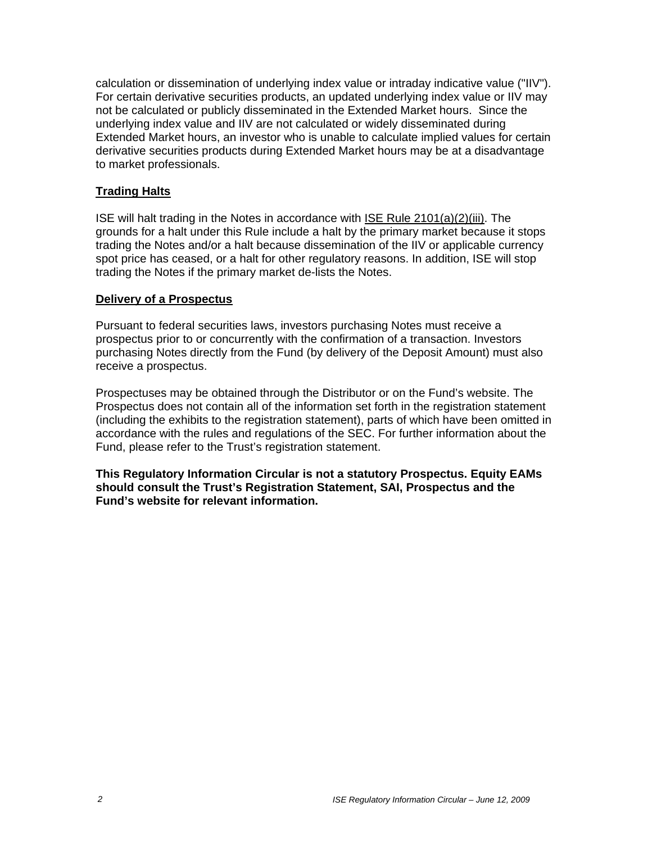calculation or dissemination of underlying index value or intraday indicative value ("IIV"). For certain derivative securities products, an updated underlying index value or IIV may not be calculated or publicly disseminated in the Extended Market hours. Since the underlying index value and IIV are not calculated or widely disseminated during Extended Market hours, an investor who is unable to calculate implied values for certain derivative securities products during Extended Market hours may be at a disadvantage to market professionals.

### **Trading Halts**

ISE will halt trading in the Notes in accordance with ISE Rule 2101(a)(2)(iii). The grounds for a halt under this Rule include a halt by the primary market because it stops trading the Notes and/or a halt because dissemination of the IIV or applicable currency spot price has ceased, or a halt for other regulatory reasons. In addition, ISE will stop trading the Notes if the primary market de-lists the Notes.

#### **Delivery of a Prospectus**

Pursuant to federal securities laws, investors purchasing Notes must receive a prospectus prior to or concurrently with the confirmation of a transaction. Investors purchasing Notes directly from the Fund (by delivery of the Deposit Amount) must also receive a prospectus.

Prospectuses may be obtained through the Distributor or on the Fund's website. The Prospectus does not contain all of the information set forth in the registration statement (including the exhibits to the registration statement), parts of which have been omitted in accordance with the rules and regulations of the SEC. For further information about the Fund, please refer to the Trust's registration statement.

**This Regulatory Information Circular is not a statutory Prospectus. Equity EAMs should consult the Trust's Registration Statement, SAI, Prospectus and the Fund's website for relevant information.**